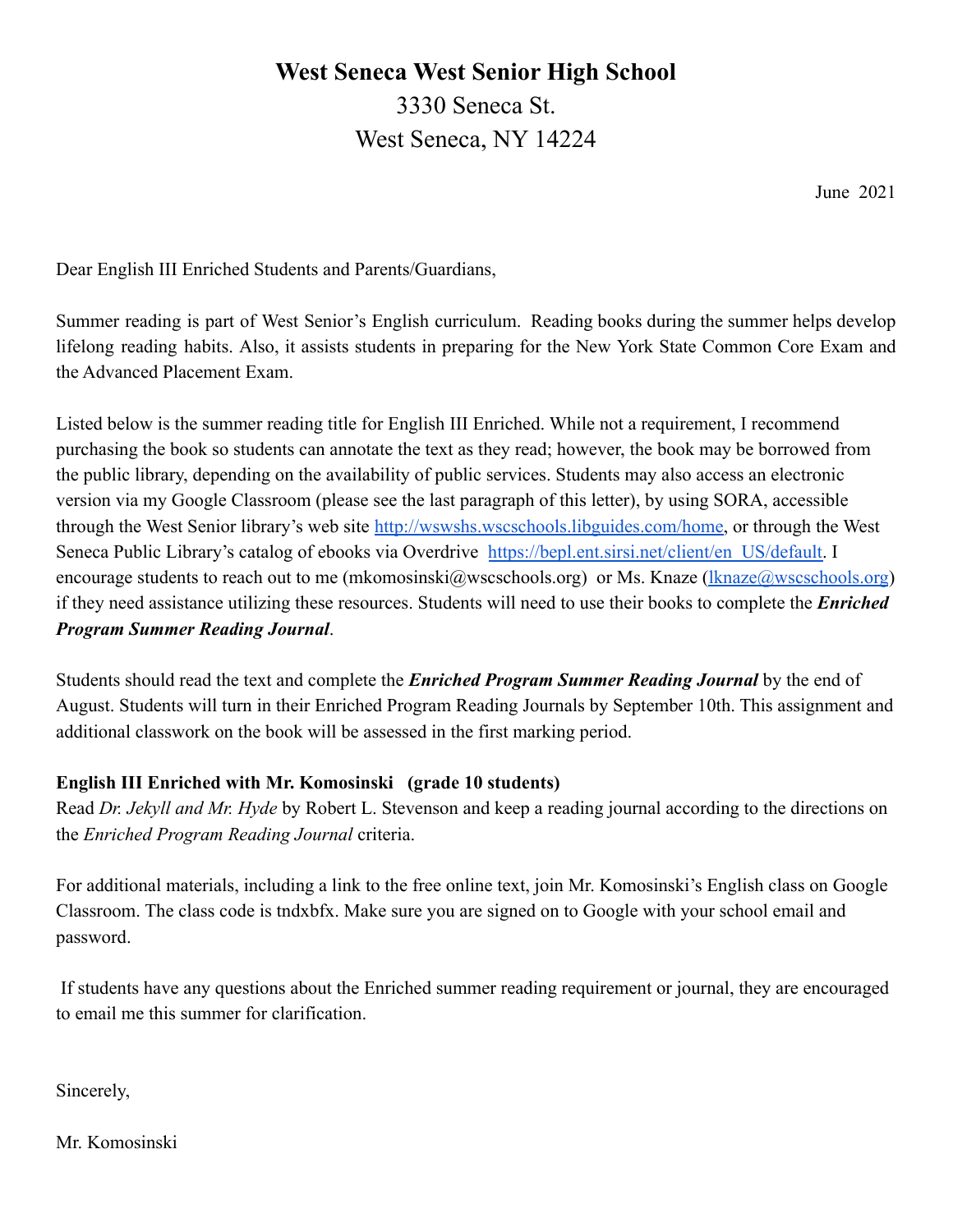# **West Seneca West Senior High School** 3330 Seneca St. West Seneca, NY 14224

June 2021

Dear English III Enriched Students and Parents/Guardians,

Summer reading is part of West Senior's English curriculum. Reading books during the summer helps develop lifelong reading habits. Also, it assists students in preparing for the New York State Common Core Exam and the Advanced Placement Exam.

Listed below is the summer reading title for English III Enriched. While not a requirement, I recommend purchasing the book so students can annotate the text as they read; however, the book may be borrowed from the public library, depending on the availability of public services. Students may also access an electronic version via my Google Classroom (please see the last paragraph of this letter), by using SORA, accessible through the West Senior library's web site [http://wswshs.wscschools.libguides.com/home,](http://wswshs.wscschools.libguides.com/home) or through the West Seneca Public Library's catalog of ebooks via Overdrive [https://bepl.ent.sirsi.net/client/en\\_US/default.](https://bepl.ent.sirsi.net/client/en_US/default) I encourage students to reach out to me (mkomosinski@wscschools.org) or Ms. Knaze [\(lknaze@wscschools.org](mailto:lknaze@wscschools.org)) if they need assistance utilizing these resources. Students will need to use their books to complete the *Enriched Program Summer Reading Journal*.

Students should read the text and complete the *Enriched Program Summer Reading Journal* by the end of August. Students will turn in their Enriched Program Reading Journals by September 10th. This assignment and additional classwork on the book will be assessed in the first marking period.

## **English III Enriched with Mr. Komosinski (grade 10 students)**

Read *Dr. Jekyll and Mr. Hyde* by Robert L. Stevenson and keep a reading journal according to the directions on the *Enriched Program Reading Journal* criteria.

For additional materials, including a link to the free online text, join Mr. Komosinski's English class on Google Classroom. The class code is tndxbfx. Make sure you are signed on to Google with your school email and password.

If students have any questions about the Enriched summer reading requirement or journal, they are encouraged to email me this summer for clarification.

Sincerely,

Mr. Komosinski